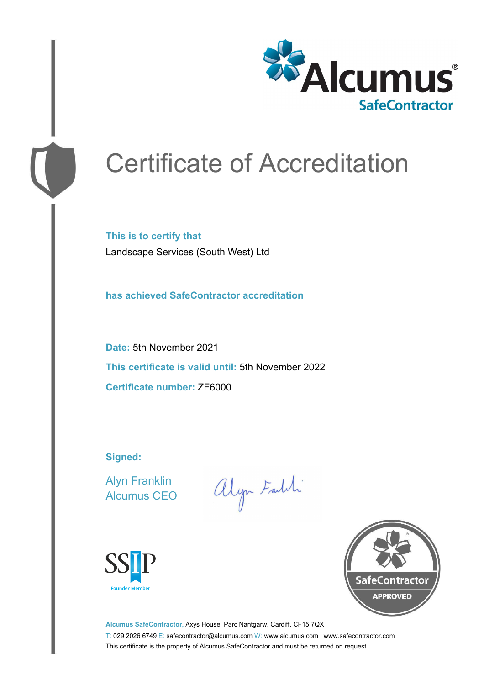

# Certificate of Accreditation

**This is to certify that** Landscape Services (South West) Ltd

**has achieved SafeContractor accreditation**

**Date:** 5th November 2021 **This certificate is valid until:** 5th November 2022 **Certificate number:** ZF6000

**Signed:**

Alyn Franklin Alcumus CEO

alyn Faith





**Alcumus SafeContractor,** Axys House, Parc Nantgarw, Cardiff, CF15 7QX T: 029 2026 6749 E: safecontractor@alcumus.com W: www.alcumus.com | www.safecontractor.com This certificate is the property of Alcumus SafeContractor and must be returned on request